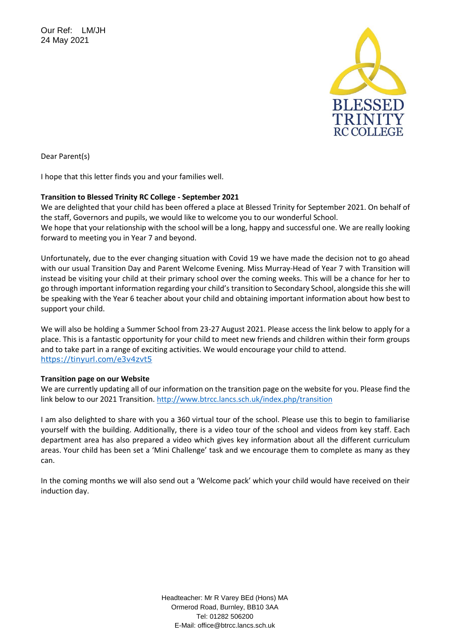Our Ref: LM/JH 24 May 2021



Dear Parent(s)

I hope that this letter finds you and your families well.

## **Transition to Blessed Trinity RC College - September 2021**

We are delighted that your child has been offered a place at Blessed Trinity for September 2021. On behalf of the staff, Governors and pupils, we would like to welcome you to our wonderful School.

We hope that your relationship with the school will be a long, happy and successful one. We are really looking forward to meeting you in Year 7 and beyond.

Unfortunately, due to the ever changing situation with Covid 19 we have made the decision not to go ahead with our usual Transition Day and Parent Welcome Evening. Miss Murray-Head of Year 7 with Transition will instead be visiting your child at their primary school over the coming weeks. This will be a chance for her to go through important information regarding your child's transition to Secondary School, alongside this she will be speaking with the Year 6 teacher about your child and obtaining important information about how best to support your child.

We will also be holding a Summer School from 23-27 August 2021. Please access the link below to apply for a place. This is a fantastic opportunity for your child to meet new friends and children within their form groups and to take part in a range of exciting activities. We would encourage your child to attend. <https://tinyurl.com/e3v4zvt5>

## **Transition page on our Website**

We are currently updating all of our information on the transition page on the website for you. Please find the link below to our 2021 Transition.<http://www.btrcc.lancs.sch.uk/index.php/transition>

I am also delighted to share with you a 360 virtual tour of the school. Please use this to begin to familiarise yourself with the building. Additionally, there is a video tour of the school and videos from key staff. Each department area has also prepared a video which gives key information about all the different curriculum areas. Your child has been set a 'Mini Challenge' task and we encourage them to complete as many as they can.

In the coming months we will also send out a 'Welcome pack' which your child would have received on their induction day.

> Headteacher: Mr R Varey BEd (Hons) MA Ormerod Road, Burnley, BB10 3AA Tel: 01282 506200 E-Mail: office@btrcc.lancs.sch.uk